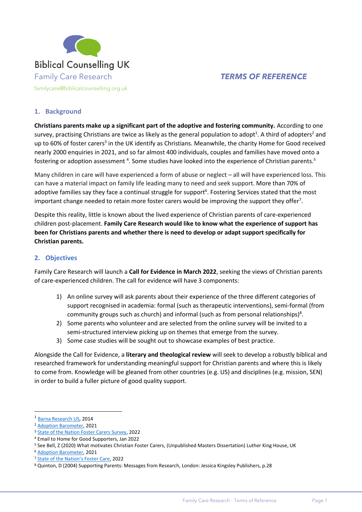

## **1. Background**

**Christians parents make up a significant part of the adoptive and fostering community.** According to one survey, practising Christians are twice as likely as the general population to adopt<sup>1</sup>. A third of adopters<sup>2</sup> and up to 60% of foster carers<sup>3</sup> in the UK identify as Christians. Meanwhile, the charity Home for Good received nearly 2000 enquiries in 2021, and so far almost 400 individuals, couples and families have moved onto a fostering or adoption assessment <sup>4</sup>. Some studies have looked into the experience of Christian parents.<sup>5</sup>

Many children in care will have experienced a form of abuse or neglect – all will have experienced loss. This can have a material impact on family life leading many to need and seek support. More than 70% of adoptive families say they face a continual struggle for support<sup>6</sup>. Fostering Services stated that the most important change needed to retain more foster carers would be improving the support they offer<sup>7</sup>.

Despite this reality, little is known about the lived experience of Christian parents of care-experienced children post-placement. **Family Care Research would like to know what the experience of support has been for Christians parents and whether there is need to develop or adapt support specifically for Christian parents.** 

#### **2. Objectives**

Family Care Research will launch a **Call for Evidence in March 2022**, seeking the views of Christian parents of care-experienced children. The call for evidence will have 3 components:

- 1) An online survey will ask parents about their experience of the three different categories of support recognised in academia: formal (such as therapeutic interventions), semi-formal (from community groups such as church) and informal (such as from personal relationships)<sup>8</sup>.
- 2) Some parents who volunteer and are selected from the online survey will be invited to a semi-structured interview picking up on themes that emerge from the survey.
- 3) Some case studies will be sought out to showcase examples of best practice.

Alongside the Call for Evidence, a **literary and theological review** will seek to develop a robustly biblical and researched framework for understanding meaningful support for Christian parents and where this is likely to come from. Knowledge will be gleaned from other countries (e.g. US) and disciplines (e.g. mission, SEN) in order to build a fuller picture of good quality support.

<sup>1</sup> [Barna Research US,](https://www.barna.com/research/three-trends-on-faith-work-and-calling/) 2014

<sup>2</sup> [Adoption Barometer,](https://www.adoptionuk.org/Handlers/Download.ashx?IDMF=a5226daa-dc16-4d9f-a498-0f9ff7ab0d9e) 2021

<sup>&</sup>lt;sup>3</sup> [State of the Nation Foster Carers Survey,](https://www.thefosteringnetwork.org.uk/sites/default/files/2021-02/State%20of%20the%20Nation%27s%20Foster%20Care%202019%20Full%20Report.pdf) 2022

<sup>4</sup> Email to Home for Good Supporters, Jan 2022

<sup>5</sup> See Bell, Z (2020) What motivates Christian Foster Carers, (Unpublished Masters Dissertation) Luther King House, UK

<sup>6</sup> [Adoption Barometer,](https://www.adoptionuk.org/Handlers/Download.ashx?IDMF=a5226daa-dc16-4d9f-a498-0f9ff7ab0d9e) 2021

<sup>7</sup> State of [the Nation's Foster Care](https://www.thefosteringnetwork.org.uk/sites/default/files/2021-02/State%20of%20the%20Nation%27s%20Foster%20Care%202019%20Full%20Report.pdf), 2022

<sup>8</sup> Quinton, D (2004) Supporting Parents: Messages from Research, London: Jessica Kingsley Publishers, p.28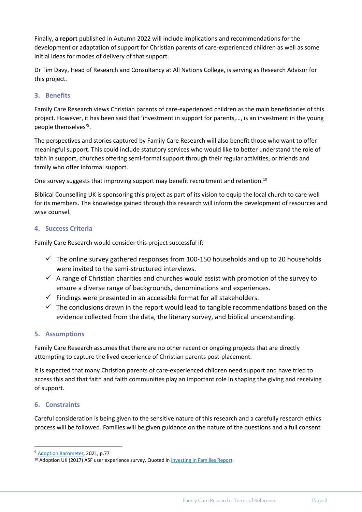Finally, **a report** published in Autumn 2022 will include implications and recommendations for the development or adaptation of support for Christian parents of care-experienced children as well as some initial ideas for modes of delivery of that support.

Dr Tim Davy, Head of Research and Consultancy at All Nations College, is serving as Research Advisor for this project.

# **3. Benefits**

Family Care Research views Christian parents of care-experienced children as the main beneficiaries of this project. However, it has been said that 'investment in support for parents,…, is an investment in the young people themselves'<sup>9</sup> .

The perspectives and stories captured by Family Care Research will also benefit those who want to offer meaningful support. This could include statutory services who would like to better understand the role of faith in support, churches offering semi-formal support through their regular activities, or friends and family who offer informal support.

One survey suggests that improving support may benefit recruitment and retention.<sup>10</sup>

Biblical Counselling UK is sponsoring this project as part of its vision to equip the local church to care well for its members. The knowledge gained through this research will inform the development of resources and wise counsel.

# **4. Success Criteria**

Family Care Research would consider this project successful if:

- $\checkmark$  The online survey gathered responses from 100-150 households and up to 20 households were invited to the semi-structured interviews.
- $\checkmark$  A range of Christian charities and churches would assist with promotion of the survey to ensure a diverse range of backgrounds, denominations and experiences.
- $\checkmark$  Findings were presented in an accessible format for all stakeholders.
- $\checkmark$  The conclusions drawn in the report would lead to tangible recommendations based on the evidence collected from the data, the literary survey, and biblical understanding.

### **5. Assumptions**

Family Care Research assumes that there are no other recent or ongoing projects that are directly attempting to capture the lived experience of Christian parents post-placement.

It is expected that many Christian parents of care-experienced children need support and have tried to access this and that faith and faith communities play an important role in shaping the giving and receiving of support.

### **6. Constraints**

Careful consideration is being given to the sensitive nature of this research and a carefully research ethics process will be followed. Families will be given guidance on the nature of the questions and a full consent

<sup>9</sup> Adoption [Barometer,](https://www.adoptionuk.org/Handlers/Download.ashx?IDMF=a5226daa-dc16-4d9f-a498-0f9ff7ab0d9e) 2021, p.77

<sup>&</sup>lt;sup>10</sup> Adoption UK (2017) ASF user experience survey. Quoted i[n Investing In Families Report.](https://www.adoptionuk.org/Handlers/Download.ashx?IDMF=56e665e1-21ff-4fd2-a6a5-d9f46eda9892)